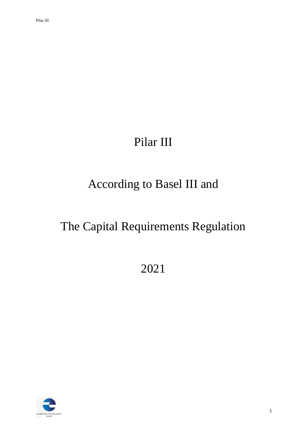# Pilar III

# According to Basel III and

# The Capital Requirements Regulation

2021

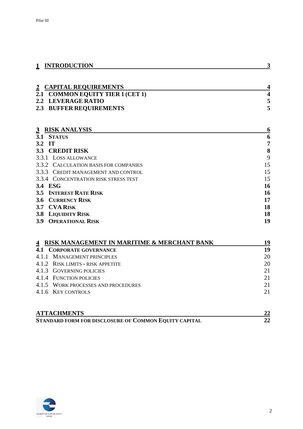| <b>INTRODUCTION</b>                         | 3                       |
|---------------------------------------------|-------------------------|
|                                             |                         |
| <b>CAPITAL REQUIREMENTS</b><br>$\mathbf{2}$ | 4                       |
| 2.1 COMMON EQUITY TIER 1 (CET 1)            | $\overline{\mathbf{4}}$ |
| <b>LEVERAGE RATIO</b><br>2.2                | 5                       |
| <b>BUFFER REQUIREMENTS</b><br>2.3           | 5                       |
|                                             |                         |
|                                             |                         |
| <b>RISK ANALYSIS</b><br>$\mathbf{3}$        | 6                       |
| 3.1 STATUS                                  | 6                       |
| IT<br>3.2                                   | 7                       |
| <b>CREDIT RISK</b><br><b>3.3</b>            | 8                       |
| 3.3.1<br><b>LOSS ALLOWANCE</b>              | 9                       |
| 3.3.2 CALCULATION BASIS FOR COMPANIES       | 15                      |
| 3.3.3 CREDIT MANAGEMENT AND CONTROL         | 15                      |
| 3.3.4 CONCENTRATION RISK STRESS TEST        | 15                      |
| 3.4 ESG                                     | 16                      |
| <b>INTEREST RATE RISK</b><br>3.5            | 16                      |
| <b>CURRENCY RISK</b><br>3.6                 | 17                      |
| <b>CVA RISK</b><br>3.7                      | 18                      |
| <b>3.8 LIQUIDITY RISK</b>                   | 18                      |

| <b>3.9 OPERATIONAL RISK</b> |  |
|-----------------------------|--|

| RISK MANAGEMENT IN MARITIME & MERCHANT BANK | 19 |
|---------------------------------------------|----|
| 4.1<br>CORPORATE GOVERNANCE                 | 19 |
| 4.1.1 MANAGEMENT PRINCIPLES                 | 20 |
| 4.1.2 RISK LIMITS - RISK APPETITE           | 20 |
| 4.1.3 GOVERNING POLICIES                    | 21 |
| 4.1.4 FUNCTION POLICIES                     | 21 |
| 4.1.5 WORK PROCESSES AND PROCEDURES         | 21 |
| 4.1.6 KEY CONTROLS                          | 21 |
|                                             |    |
|                                             |    |
| <b>ATTACHMENTS</b>                          | 22 |

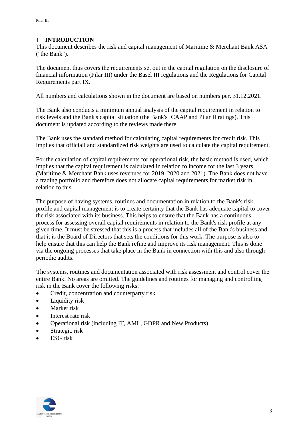#### <span id="page-2-0"></span> $1$ **INTRODUCTION**

This document describes the risk and capital management of Maritime & Merchant Bank ASA ("the Bank").

The document thus covers the requirements set out in the capital regulation on the disclosure of financial information (Pilar III) under the Basel III regulations and the Regulations for Capital Requirements part IX.

All numbers and calculations shown in the document are based on numbers per. 31.12.2021.

The Bank also conducts a minimum annual analysis of the capital requirement in relation to risk levels and the Bank's capital situation (the Bank's ICAAP and Pilar II ratings). This document is updated according to the reviews made there.

The Bank uses the standard method for calculating capital requirements for credit risk. This implies that officiall and standardized risk weights are used to calculate the capital requirement.

For the calculation of capital requirements for operational risk, the basic method is used, which implies that the capital requirement is calculated in relation to income for the last 3 years (Maritime & Merchant Bank uses revenues for 2019, 2020 and 2021). The Bank does not have a trading portfolio and therefore does not allocate capital requirements for market risk in relation to this.

The purpose of having systems, routines and documentation in relation to the Bank's risk profile and capital management is to create certainty that the Bank has adequate capital to cover the risk associated with its business. This helps to ensure that the Bank has a continuous process for assessing overall capital requirements in relation to the Bank's risk profile at any given time. It must be stressed that this is a process that includes all of the Bank's business and that it is the Board of Directors that sets the conditions for this work. The purpose is also to help ensure that this can help the Bank refine and improve its risk management. This is done via the ongoing processes that take place in the Bank in connection with this and also through periodic audits.

The systems, routines and documentation associated with risk assessment and control cover the entire Bank. No areas are omitted. The guidelines and routines for managing and controlling risk in the Bank cover the following risks:

- Credit, concentration and counterparty risk
- Liquidity risk
- Market risk
- Interest rate risk
- Operational risk (including IT, AML, GDPR and New Products)
- Strategic risk
- ESG risk

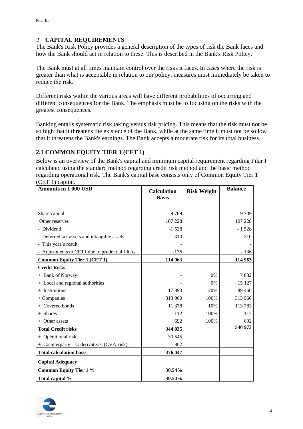## <span id="page-3-0"></span>**CAPITAL REQUIREMENTS**

The Bank's Risk Policy provides a general description of the types of risk the Bank faces and how the Bank should act in relation to these. This is described in the Bank's Risk Policy.

The Bank must at all times maintain control over the risks it faces. In cases where the risk is greater than what is acceptable in relation to our policy, measures must immediately be taken to reduce the risk.

Different risks within the various areas will have different probabilities of occurring and different consequences for the Bank. The emphasis must be to focusing on the risks with the greatest consequences.

Banking entails systematic risk taking versus risk pricing. This means that the risk must not be so high that it threatens the existence of the Bank, while at the same time it must not be so low that it threatens the Bank's earnings. The Bank accepts a moderate risk for its total business.

### <span id="page-3-1"></span>**2.1 COMMON EQUITY TIER 1 (CET 1)**

Below is an overview of the Bank's capital and minimum capital requirement regarding Pilar I calculated using the standard method regarding credit risk method and the basic method regarding operational risk. The Bank's capital base consists only of Common Equity Tier 1 (CET 1) capital.

| <b>Amounts in 1 000 USD</b>                   | <b>Calculation</b> | <b>Risk Weight</b> | <b>Balance</b> |
|-----------------------------------------------|--------------------|--------------------|----------------|
|                                               | <b>Basis</b>       |                    |                |
|                                               |                    |                    |                |
| Share capital                                 | 9 7 0 9            |                    | 9 7 0 9        |
| Other reserves                                | 107 228            |                    | 107 228        |
| - Dividend                                    | $-1528$            |                    | $-1528$        |
| - Deferred tax assets and intangible assets   | $-310$             |                    | $-310$         |
| - This year's result                          |                    |                    |                |
| Adjustments to CET1 due to prudential filters | $-136$             |                    | $-136$         |
| <b>Common Equity Tier 1 (CET 1)</b>           | 114 963            |                    | 114 963        |
| <b>Credit Risks</b>                           |                    |                    |                |
| + Bank of Norway                              |                    | 0%                 | 7832           |
| + Local and regional authorities              |                    | $0\%$              | 15 127         |
| $+$ Institutions                              | 17893              | 20%                | 89 4 66        |
| $+$ Companies                                 | 313 960            | 100%               | 313 960        |
| Covered bonds                                 | 11 378             | 10%                | 113783         |
| + Shares                                      | 112                | 100%               | 112            |
| Other assets                                  | 692                | 100%               | 692            |
| <b>Total Credit risks</b>                     | 344 035            |                    | 540 973        |
| + Operational risk                            | 30 545             |                    |                |
| Counterparty risk derivatives (CVA-risk)      | 1867               |                    |                |
| <b>Total calculation basis</b>                | 376 447            |                    |                |
| <b>Capital Adequacy</b>                       |                    |                    |                |
| <b>Common Equity Tier 1 %</b>                 | 30.54%             |                    |                |
| Total capital %                               | 30.54%             |                    |                |

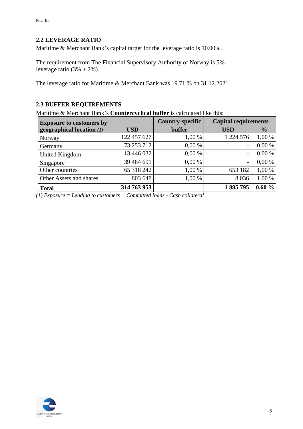### <span id="page-4-0"></span>**2.2 LEVERAGE RATIO**

Maritime & Merchant Bank's capital target for the leverage ratio is 10.00%.

The requirement from The Financial Supervisory Authority of Norway is 5% leverage ratio  $(3\% + 2\%)$ .

The leverage ratio for Maritime & Merchant Bank was 19.71 % on 31.12.2021.

# <span id="page-4-1"></span>**2.3 BUFFER REQUIREMENTS**

Maritime & Merchant Bank's **Countercyclical buffer** is calculated like this:

| <b>Exposure to customers by</b> |             | <b>Country-specific</b> | <b>Capital requirements</b> |               |
|---------------------------------|-------------|-------------------------|-----------------------------|---------------|
| geographical location (1)       | <b>USD</b>  | buffer                  | <b>USD</b>                  | $\frac{0}{0}$ |
| Norway                          | 122 457 627 | 1,00 %                  | 1 224 576                   | 1,00 %        |
| Germany                         | 73 253 712  | 0,00%                   | -                           | 0,00%         |
| United Kingdom                  | 13 446 032  | 0,00%                   | -                           | 0,00%         |
| Singapore                       | 39 484 691  | 0,00%                   | -                           | 0,00%         |
| Other countries                 | 65 318 242  | 1,00 %                  | 653 182                     | 1,00 %        |
| Other Assets and shares         | 803 648     | 1,00 %                  | 8 0 3 6                     | 1,00 %        |
| <b>Total</b>                    | 314 763 953 |                         | 1885795                     | 0.60%         |

*(1) Exposure = Lending to customers + Committed loans - Cash collateral*

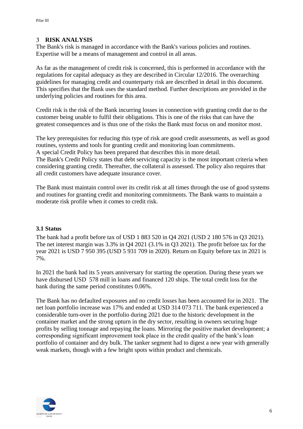#### <span id="page-5-0"></span> $\overline{3}$ **RISK ANALYSIS**

The Bank's risk is managed in accordance with the Bank's various policies and routines. Expertise will be a means of management and control in all areas.

As far as the management of credit risk is concerned, this is performed in accordance with the regulations for capital adequacy as they are described in Circular 12/2016. The overarching guidelines for managing credit and counterparty risk are described in detail in this document. This specifies that the Bank uses the standard method. Further descriptions are provided in the underlying policies and routines for this area.

Credit risk is the risk of the Bank incurring losses in connection with granting credit due to the customer being unable to fulfil their obligations. This is one of the risks that can have the greatest consequences and is thus one of the risks the Bank must focus on and monitor most.

The key prerequisites for reducing this type of risk are good credit assessments, as well as good routines, systems and tools for granting credit and monitoring loan commitments. A special Credit Policy has been prepared that describes this in more detail. The Bank's Credit Policy states that debt servicing capacity is the most important criteria when considering granting credit. Thereafter, the collateral is assessed. The policy also requires that all credit customers have adequate insurance cover.

The Bank must maintain control over its credit risk at all times through the use of good systems and routines for granting credit and monitoring commitments. The Bank wants to maintain a moderate risk profile when it comes to credit risk.

#### <span id="page-5-1"></span>**3.1 Status**

The bank had a profit before tax of USD 1 883 520 in Q4 2021 (USD 2 180 576 in Q3 2021). The net interest margin was 3.3% in Q4 2021 (3.1% in Q3 2021). The profit before tax for the year 2021 is USD 7 950 395 (USD 5 931 709 in 2020). Return on Equity before tax in 2021 is 7%.

In 2021 the bank had its 5 years anniversary for starting the operation. During these years we have disbursed USD 578 mill in loans and financed 120 ships. The total credit loss for the bank during the same period constitutes 0.06%.

The Bank has no defaulted exposures and no credit losses has been accounted for in 2021. The net loan portfolio increase was 17% and ended at USD 314 073 711. The bank experienced a considerable turn-over in the portfolio during 2021 due to the historic development in the container market and the strong upturn in the dry sector, resulting in owners securing huge profits by selling tonnage and repaying the loans. Mirroring the positive market development; a corresponding significant improvement took place in the credit quality of the bank's loan portfolio of container and dry bulk. The tanker segment had to digest a new year with generally weak markets, though with a few bright spots within product and chemicals.

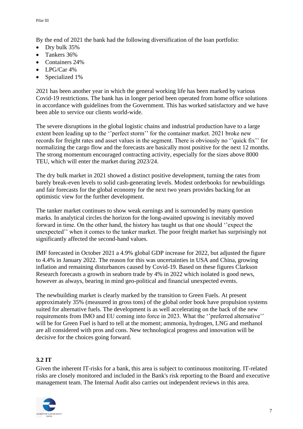By the end of 2021 the bank had the following diversification of the loan portfolio:

- Dry bulk 35%
- Tankers 36%
- Containers 24%
- LPG/Car 4%
- Specialized 1%

2021 has been another year in which the general working life has been marked by various Covid-19 restrictions. The bank has in longer period been operated from home office solutions in accordance with guidelines from the Government. This has worked satisfactory and we have been able to service our clients world-wide.

The severe disruptions in the global logistic chains and industrial production have to a large extent been leading up to the ''perfect storm'' for the container market. 2021 broke new records for freight rates and asset values in the segment. There is obviously no ''quick fix'' for normalizing the cargo flow and the forecasts are basically most positive for the next 12 months. The strong momentum encouraged contracting activity, especially for the sizes above 8000 TEU, which will enter the market during 2023/24.

The dry bulk market in 2021 showed a distinct positive development, turning the rates from barely break-even levels to solid cash-generating levels. Modest orderbooks for newbuildings and fair forecasts for the global economy for the next two years provides backing for an optimistic view for the further development.

The tanker market continues to show weak earnings and is surrounded by many question marks. In analytical circles the horizon for the long-awaited upswing is inevitably moved forward in time. On the other hand, the history has taught us that one should ''expect the unexpected'' when it comes to the tanker market. The poor freight market has surprisingly not significantly affected the second-hand values.

IMF forecasted in October 2021 a 4.9% global GDP increase for 2022, but adjusted the figure to 4.4% in January 2022. The reason for this was uncertainties in USA and China, growing inflation and remaining disturbances caused by Covid-19. Based on these figures Clarkson Research forecasts a growth in seaborn trade by 4% in 2022 which isolated is good news, however as always, bearing in mind geo-political and financial unexpected events.

The newbuilding market is clearly marked by the transition to Green Fuels. At present approximately 35% (measured in gross tons) of the global order book have propulsion systems suited for alternative fuels. The development is as well accelerating on the back of the new requirements from IMO and EU coming into force in 2023. What the ''preferred alternative'' will be for Green Fuel is hard to tell at the moment; ammonia, hydrogen, LNG and methanol are all considered with pros and cons. New technological progress and innovation will be decisive for the choices going forward.

# <span id="page-6-0"></span>**3.2 IT**

Given the inherent IT-risks for a bank, this area is subject to continuous monitoring. IT-related risks are closely monitored and included in the Bank's risk reporting to the Board and executive management team. The Internal Audit also carries out independent reviews in this area.

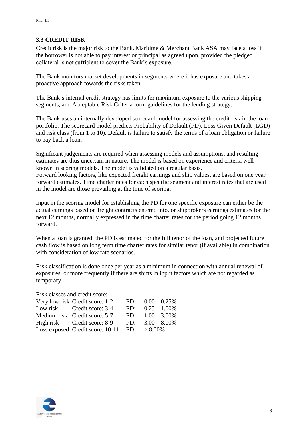#### <span id="page-7-0"></span>**3.3 CREDIT RISK**

Credit risk is the major risk to the Bank. Maritime & Merchant Bank ASA may face a loss if the borrower is not able to pay interest or principal as agreed upon, provided the pledged collateral is not sufficient to cover the Bank's exposure.

The Bank monitors market developments in segments where it has exposure and takes a proactive approach towards the risks taken.

The Bank's internal credit strategy has limits for maximum exposure to the various shipping segments, and Acceptable Risk Criteria form guidelines for the lending strategy.

The Bank uses an internally developed scorecard model for assessing the credit risk in the loan portfolio. The scorecard model predicts Probability of Default (PD), Loss Given Default (LGD) and risk class (from 1 to 10). Default is failure to satisfy the terms of a loan obligation or failure to pay back a loan.

Significant judgements are required when assessing models and assumptions, and resulting estimates are thus uncertain in nature. The model is based on experience and criteria well known in scoring models. The model is validated on a regular basis. Forward looking factors, like expected freight earnings and ship values, are based on one year

forward estimates. Time charter rates for each specific segment and interest rates that are used in the model are those prevailing at the time of scoring.

Input in the scoring model for establishing the PD for one specific exposure can either be the actual earnings based on freight contracts entered into, or shipbrokers earnings estimates for the next 12 months, normally expressed in the time charter rates for the period going 12 months forward.

When a loan is granted, the PD is estimated for the full tenor of the loan, and projected future cash flow is based on long term time charter rates for similar tenor (if available) in combination with consideration of low rate scenarios.

Risk classification is done once per year as a minimum in connection with annual renewal of exposures, or more frequently if there are shifts in input factors which are not regarded as temporary.

Risk classes and credit score:

| Very low risk Credit score: 1-2                  | PD: $0.00 - 0.25\%$ |
|--------------------------------------------------|---------------------|
| Low risk Credit score: 3-4                       | PD: $0.25 - 1.00\%$ |
| Medium risk Credit score: 5-7                    | PD: $1.00 - 3.00\%$ |
| High risk Credit score: 8-9                      | PD: $3.00 - 8.00\%$ |
| Loss exposed Credit score: $10-11$ PD: $>8.00\%$ |                     |

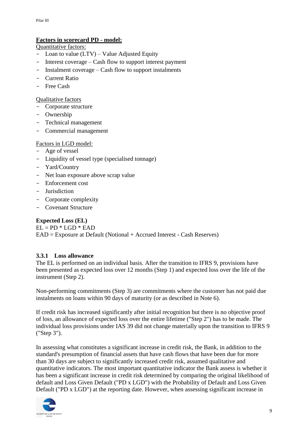#### **Factors in scorecard PD - model:**

Quantitative factors:

- Loan to value (LTV) Value Adjusted Equity
- Interest coverage Cash flow to support interest payment
- Instalment coverage Cash flow to support instalments
- Current Ratio
- Free Cash

#### Qualitative factors

- Corporate structure
- Ownership
- Technical management
- Commercial management

#### Factors in LGD model:

- Age of vessel
- Liquidity of vessel type (specialised tonnage)
- Yard/Country
- Net loan exposure above scrap value
- Enforcement cost
- Jurisdiction
- Corporate complexity
- Covenant Structure

# **Expected Loss (EL)**

 $EL = PD * LGD * EAD$ EAD = Exposure at Default (Notional + Accrued Interest - Cash Reserves)

# <span id="page-8-0"></span>**3.3.1 Loss allowance**

The EL is performed on an individual basis. After the transition to IFRS 9, provisions have been presented as expected loss over 12 months (Step 1) and expected loss over the life of the instrument (Step 2).

Non-performing commitments (Step 3) are commitments where the customer has not paid due instalments on loans within 90 days of maturity (or as described in Note 6).

If credit risk has increased significantly after initial recognition but there is no objective proof of loss, an allowance of expected loss over the entire lifetime ("Step 2") has to be made. The individual loss provisions under IAS 39 did not change materially upon the transition to IFRS 9 ("Step 3").

In assessing what constitutes a significant increase in credit risk, the Bank, in addition to the standard's presumption of financial assets that have cash flows that have been due for more than 30 days are subject to significantly increased credit risk, assumed qualitative and quantitative indicators. The most important quantitative indicator the Bank assess is whether it has been a significant increase in credit risk determined by comparing the original likelihood of default and Loss Given Default ("PD x LGD") with the Probability of Default and Loss Given Default ("PD x LGD") at the reporting date. However, when assessing significant increase in

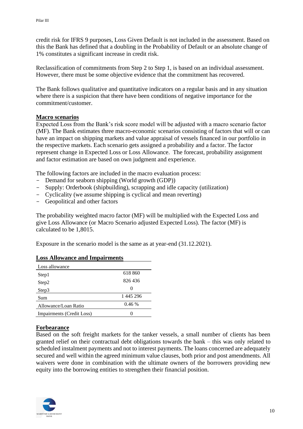credit risk for IFRS 9 purposes, Loss Given Default is not included in the assessment. Based on this the Bank has defined that a doubling in the Probability of Default or an absolute change of 1% constitutes a significant increase in credit risk.

Reclassification of commitments from Step 2 to Step 1, is based on an individual assessment. However, there must be some objective evidence that the commitment has recovered.

The Bank follows qualitative and quantitative indicators on a regular basis and in any situation where there is a suspicion that there have been conditions of negative importance for the commitment/customer.

#### **Macro scenarios**

Expected Loss from the Bank's risk score model will be adjusted with a macro scenario factor (MF). The Bank estimates three macro-economic scenarios consisting of factors that will or can have an impact on shipping markets and value appraisal of vessels financed in our portfolio in the respective markets. Each scenario gets assigned a probability and a factor. The factor represent change in Expected Loss or Loss Allowance. The forecast, probability assignment and factor estimation are based on own judgment and experience.

The following factors are included in the macro evaluation process:

- Demand for seaborn shipping (World growth (GDP))
- Supply: Orderbook (shipbuilding), scrapping and idle capacity (utilization)
- Cyclicality (we assume shipping is cyclical and mean reverting)
- Geopolitical and other factors

The probability weighted macro factor (MF) will be multiplied with the Expected Loss and give Loss Allowance (or Macro Scenario adjusted Expected Loss). The factor (MF) is calculated to be 1,8015.

Exposure in the scenario model is the same as at year-end (31.12.2021).

| Loss allowance            |           |
|---------------------------|-----------|
| Step1                     | 618 860   |
| Step2                     | 826 436   |
| Step3                     | $\theta$  |
| Sum                       | 1 445 296 |
| Allowance/Loan Ratio      | 0.46%     |
| Impairments (Credit Loss) |           |

#### **Loss Allowance and Impairments**

#### **Forbearance**

Based on the soft freight markets for the tanker vessels, a small number of clients has been granted relief on their contractual debt obligations towards the bank – this was only related to scheduled instalment payments and not to interest payments. The loans concerned are adequately secured and well within the agreed minimum value clauses, both prior and post amendments. All waivers were done in combination with the ultimate owners of the borrowers providing new equity into the borrowing entities to strengthen their financial position.

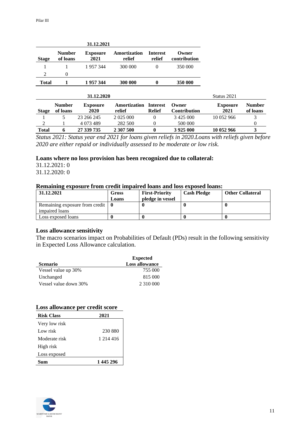|                |                           | 31.12.2021              |                        |                           |                       |
|----------------|---------------------------|-------------------------|------------------------|---------------------------|-----------------------|
| <b>Stage</b>   | <b>Number</b><br>of loans | <b>Exposure</b><br>2021 | Amortization<br>relief | <b>Interest</b><br>relief | Owner<br>contribution |
|                |                           | 1957344                 | 300 000                |                           | 350 000               |
| $\mathfrak{D}$ | $\theta$                  |                         |                        |                           |                       |
| Total          |                           | 1957344                 | 300 000                |                           | 350 000               |

| 31.12.2020   |                           |                         |                        | Status 2021                      |                        |                         |                           |
|--------------|---------------------------|-------------------------|------------------------|----------------------------------|------------------------|-------------------------|---------------------------|
| <b>Stage</b> | <b>Number</b><br>of loans | <b>Exposure</b><br>2020 | Amortization<br>relief | <b>Interest</b><br><b>Relief</b> | Owner)<br>Contribution | <b>Exposure</b><br>2021 | <b>Number</b><br>of loans |
|              |                           | 23 266 245              | 2 0 2 5 0 0 0          |                                  | 3 4 2 5 0 0 0 0        | 10 052 966              |                           |
| 2            |                           | 4 0 7 3 4 8 9           | 282 500                |                                  | 500 000                |                         |                           |
| <b>Total</b> |                           | 27 339 735              | 2 307 500              |                                  | 3 9 25 0 00            | 10 052 966              |                           |

*Status 2021: Status year end 2021 for loans given reliefs in 2020.Loans with reliefs given before 2020 are either repaid or individually assessed to be moderate or low risk.* 

#### **Loans where no loss provision has been recognized due to collateral:**

31.12.2021: 0

31.12.2020: 0

#### **Remaining exposure from credit impaired loans and loss exposed loans:**

| 31.12.2021                                              | Gross<br>Loans | <b>First-Priority</b><br>pledge in vessel | <b>Cash Pledge</b> | <b>Other Collateral</b> |
|---------------------------------------------------------|----------------|-------------------------------------------|--------------------|-------------------------|
| Remaining exposure from credit $\vert \mathbf{0} \vert$ |                |                                           |                    |                         |
| impaired loans                                          |                |                                           |                    |                         |
| Loss exposed loans                                      |                |                                           |                    |                         |

#### **Loss allowance sensitivity**

The macro scenarios impact on Probabilities of Default (PDs) result in the following sensitivity in Expected Loss Allowance calculation.

|                       | <b>Expected</b>       |
|-----------------------|-----------------------|
| <b>Scenario</b>       | <b>Loss allowance</b> |
| Vessel value up 30%   | 755 000               |
| Unchanged             | 815 000               |
| Vessel value down 30% | 2 310 000             |

#### **Loss allowance per credit score**

| <b>Risk Class</b> | 2021      |
|-------------------|-----------|
| Very low risk     |           |
| Low risk          | 230 880   |
| Moderate risk     | 1 214 416 |
| High risk         |           |
| Loss exposed      |           |
|                   | 1 445 296 |

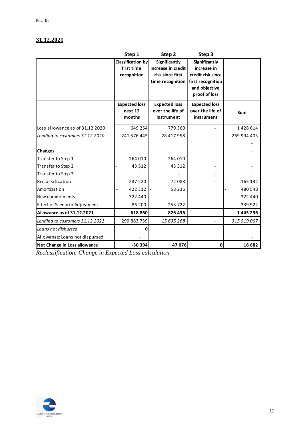# **31.12.2021**

|                                 | Step 1                   | Step <sub>2</sub>                   | Step 3               |             |
|---------------------------------|--------------------------|-------------------------------------|----------------------|-------------|
|                                 | <b>Classification by</b> | Significantly                       | Significantly        |             |
|                                 | first time               | increase in credit                  | increase in          |             |
|                                 | recognition              | risk since first                    | credit risk since    |             |
|                                 |                          | time recognition                    | first recognition    |             |
|                                 |                          |                                     | and objective        |             |
|                                 |                          |                                     | proof of loss        |             |
|                                 | <b>Expected loss</b>     | <b>Expected loss</b>                | <b>Expected loss</b> |             |
|                                 | next 12                  | over the life of                    | over the life of     | Sum         |
|                                 | months                   | instrument                          | instrument           |             |
| Loss allowance as of 31.12.2020 | 649 254                  | 779 360                             |                      | 1428614     |
| Lending to customers 31.12.2020 | 241 576 445              | 28 417 958                          |                      | 269 994 403 |
|                                 |                          |                                     |                      |             |
| <b>Changes</b>                  |                          |                                     |                      |             |
| Transfer to Step 1              | 264 010                  | 264 010<br>$\overline{\phantom{a}}$ |                      |             |
| Transfer to Step 2              | 43 512                   | 43 5 12                             |                      |             |
| Transfer to Step 3              |                          |                                     |                      |             |
| Reclassification                | 237 220                  | 72 088                              |                      | 165 132     |
| Amortization                    | 422 312                  | 58 236                              |                      | 480 548     |
| New commitments                 | 322 440                  |                                     |                      | 322 440     |
| Effect of Scenario Adjustment   | 86 200                   | 253722                              |                      | 339 922     |
| Allowance as of 31.12.2021      | 618860                   | 826 436                             |                      | 1445296     |
| Lending to customers 31.12.2021 | 299 883 739              | 15 635 268                          |                      | 315 519 007 |
| Loans not disbursed             | 0                        |                                     |                      |             |
| Allowanse: Loans not dispursed  |                          |                                     |                      |             |
| Net Change in Loss allowance    | -30 394                  | 47 076                              | 0                    | 16 682      |

*Reclassification: Change in Expected Loss calculation*

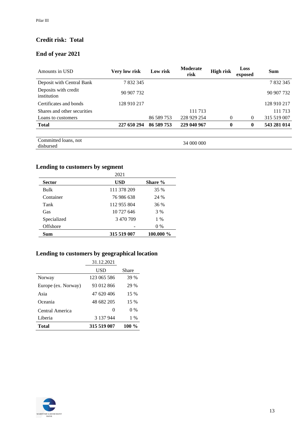# **Credit risk: Total**

# **End of year 2021**

| Amounts in USD                      | Very low risk | Low risk   | <b>Moderate</b><br>risk | <b>High risk</b> | Loss<br>exposed | <b>Sum</b>  |
|-------------------------------------|---------------|------------|-------------------------|------------------|-----------------|-------------|
| Deposit with Central Bank           | 7 832 345     |            |                         |                  |                 | 7 832 345   |
| Deposits with credit<br>institution | 90 907 732    |            |                         |                  |                 | 90 907 732  |
| Certificates and bonds              | 128 910 217   |            |                         |                  |                 | 128 910 217 |
| Shares and other securities         |               |            | 111 713                 |                  |                 | 111 713     |
| Loans to customers                  |               | 86 589 753 | 228 929 254             | 0                | $\theta$        | 315 519 007 |
| <b>Total</b>                        | 227 650 294   | 86 589 753 | 229 040 967             | 0                | $\mathbf{0}$    | 543 281 014 |
| Committed loans, not<br>disbursed   |               |            | 34 000 000              |                  |                 |             |

# **Lending to customers by segment**

|               | 2021        |           |
|---------------|-------------|-----------|
| <b>Sector</b> | <b>USD</b>  | Share %   |
| Bulk          | 111 378 209 | 35 %      |
| Container     | 76 986 638  | 24 %      |
| Tank          | 112 955 804 | 36 %      |
| Gas           | 10 727 646  | 3 %       |
| Specialized   | 3 470 709   | $1\%$     |
| Offshore      |             | 0 %       |
| Sum           | 315 519 007 | 100.000 % |

# **Lending to customers by geographical location**

|                     | 31.12.2021   |          |
|---------------------|--------------|----------|
|                     | USD          | Share    |
| Norway              | 123 065 586  | 39 %     |
| Europe (ex. Norway) | 93 012 866   | 29 %     |
| Asia                | 47 620 406   | 15 %     |
| Oceania             | 48 682 205   | 15 %     |
| Central America     | $\mathbf{0}$ | $0\%$    |
| Liberia             | 3 137 944    | $1\%$    |
| Total               | 315 519 007  | 100 $\%$ |

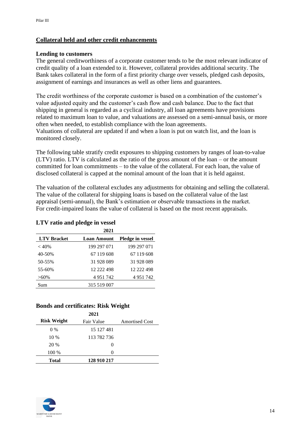### **Collateral held and other credit enhancements**

#### **Lending to customers**

The general creditworthiness of a corporate customer tends to be the most relevant indicator of credit quality of a loan extended to it. However, collateral provides additional security. The Bank takes collateral in the form of a first priority charge over vessels, pledged cash deposits, assignment of earnings and insurances as well as other liens and guarantees.

The credit worthiness of the corporate customer is based on a combination of the customer's value adjusted equity and the customer's cash flow and cash balance. Due to the fact that shipping in general is regarded as a cyclical industry, all loan agreements have provisions related to maximum loan to value, and valuations are assessed on a semi-annual basis, or more often when needed, to establish compliance with the loan agreements. Valuations of collateral are updated if and when a loan is put on watch list, and the loan is monitored closely.

The following table stratify credit exposures to shipping customers by ranges of loan-to-value (LTV) ratio. LTV is calculated as the ratio of the gross amount of the loan – or the amount committed for loan commitments – to the value of the collateral. For each loan, the value of disclosed collateral is capped at the nominal amount of the loan that it is held against.

The valuation of the collateral excludes any adjustments for obtaining and selling the collateral. The value of the collateral for shipping loans is based on the collateral value of the last appraisal (semi-annual), the Bank's estimation or observable transactions in the market. For credit-impaired loans the value of collateral is based on the most recent appraisals.

#### **LTV ratio and pledge in vessel**

|                    | 2021               |                         |
|--------------------|--------------------|-------------------------|
| <b>LTV</b> Bracket | <b>Loan Amount</b> | <b>Pledge in vessel</b> |
| $<$ 40%            | 199 297 071        | 199 297 071             |
| 40-50%             | 67 119 608         | 67 119 608              |
| 50-55%             | 31 928 089         | 31 928 089              |
| 55-60%             | 12 222 498         | 12 222 498              |
| $>60\%$            | 4951742            | 4 9 5 1 7 4 2           |
| Sum                | 315 519 007        |                         |

#### **Bonds and certificates: Risk Weight**

|                    | 2021        |                       |
|--------------------|-------------|-----------------------|
| <b>Risk Weight</b> | Fair Value  | <b>Amortised Cost</b> |
| $0\%$              | 15 127 481  |                       |
| $10\%$             | 113 782 736 |                       |
| 20 %               | 0           |                       |
| 100 %              | 0           |                       |
| <b>Total</b>       | 128 910 217 |                       |

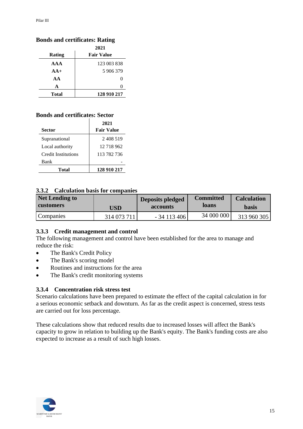# **Bonds and certificates: Rating**

|              | 2021              |
|--------------|-------------------|
| Rating       | <b>Fair Value</b> |
| AA           | 123 003 838       |
| $AA+$        | 5 906 379         |
| AA           |                   |
| A            |                   |
| <b>Total</b> | 128 910 217       |

# **Bonds and certificates: Sector**

|                            | 2021              |
|----------------------------|-------------------|
| <b>Sector</b>              | <b>Fair Value</b> |
| Supranational              | 2408519           |
| Local authority            | 12 718 962        |
| <b>Credit Institutions</b> | 113 782 736       |
| Bank                       |                   |
| Total                      | 128 910 217       |

#### <span id="page-14-0"></span>**3.3.2 Calculation basis for companies**

| <b>Net Lending to</b> | USD         | Deposits pledged | <b>Committed</b> | <b>Calculation</b> |
|-----------------------|-------------|------------------|------------------|--------------------|
| <b>customers</b>      |             | accounts         | loans            | <b>basis</b>       |
| Companies             | 314 073 711 | $-34113406$      | 34 000 000       | 313 960 305        |

#### <span id="page-14-1"></span>**3.3.3 Credit management and control**

The following management and control have been established for the area to manage and reduce the risk:

- The Bank's Credit Policy
- The Bank's scoring model
- Routines and instructions for the area
- The Bank's credit monitoring systems

#### <span id="page-14-2"></span>**3.3.4 Concentration risk stress test**

Scenario calculations have been prepared to estimate the effect of the capital calculation in for a serious economic setback and downturn. As far as the credit aspect is concerned, stress tests are carried out for loss percentage.

These calculations show that reduced results due to increased losses will affect the Bank's capacity to grow in relation to building up the Bank's equity. The Bank's funding costs are also expected to increase as a result of such high losses.

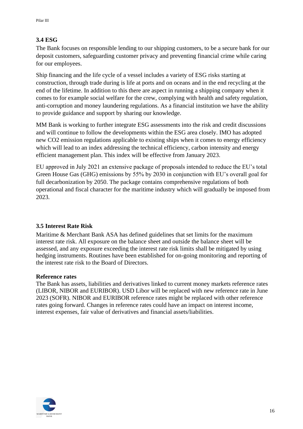# <span id="page-15-0"></span>**3.4 ESG**

The Bank focuses on responsible lending to our shipping customers, to be a secure bank for our deposit customers, safeguarding customer privacy and preventing financial crime while caring for our employees.

Ship financing and the life cycle of a vessel includes a variety of ESG risks starting at construction, through trade during is life at ports and on oceans and in the end recycling at the end of the lifetime. In addition to this there are aspect in running a shipping company when it comes to for example social welfare for the crew, complying with health and safety regulation, anti-corruption and money laundering regulations. As a financial institution we have the ability to provide guidance and support by sharing our knowledge.

MM Bank is working to further integrate ESG assessments into the risk and credit discussions and will continue to follow the developments within the ESG area closely. IMO has adopted new CO2 emission regulations applicable to existing ships when it comes to energy efficiency which will lead to an index addressing the technical efficiency, carbon intensity and energy efficient management plan. This index will be effective from January 2023.

EU approved in July 2021 an extensive package of proposals intended to reduce the EU's total Green House Gas (GHG) emissions by 55% by 2030 in conjunction with EU's overall goal for full decarbonization by 2050. The package contains comprehensive regulations of both operational and fiscal character for the maritime industry which will gradually be imposed from 2023.

# <span id="page-15-1"></span>**3.5 Interest Rate Risk**

Maritime & Merchant Bank ASA has defined guidelines that set limits for the maximum interest rate risk. All exposure on the balance sheet and outside the balance sheet will be assessed, and any exposure exceeding the interest rate risk limits shall be mitigated by using hedging instruments. Routines have been established for on-going monitoring and reporting of the interest rate risk to the Board of Directors.

#### **Reference rates**

The Bank has assets, liabilities and derivatives linked to current money markets reference rates (LIBOR, NIBOR and EURIBOR). USD Libor will be replaced with new reference rate in June 2023 (SOFR). NIBOR and EURIBOR reference rates might be replaced with other reference rates going forward. Changes in reference rates could have an impact on interest income, interest expenses, fair value of derivatives and financial assets/liabilities.

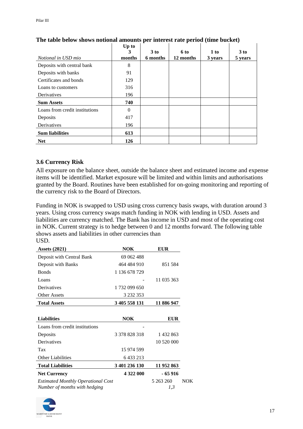|                                | Up to<br>3 | $3$ to   | 6 to      | 1 to    | 3 to    |
|--------------------------------|------------|----------|-----------|---------|---------|
| Notional in USD mio            | months     | 6 months | 12 months | 3 years | 5 years |
| Deposits with central bank     | 8          |          |           |         |         |
| Deposits with banks            | 91         |          |           |         |         |
| Certificates and bonds         | 129        |          |           |         |         |
| Loans to customers             | 316        |          |           |         |         |
| Derivatives                    | 196        |          |           |         |         |
| <b>Sum Assets</b>              | 740        |          |           |         |         |
| Loans from credit institutions | 0          |          |           |         |         |
| Deposits                       | 417        |          |           |         |         |
| Derivatives                    | 196        |          |           |         |         |
| <b>Sum liabilities</b>         | 613        |          |           |         |         |
| <b>Net</b>                     | 126        |          |           |         |         |

## **The table below shows notional amounts per interest rate period (time bucket)**

### <span id="page-16-0"></span>**3.6 Currency Risk**

All exposure on the balance sheet, outside the balance sheet and estimated income and expense items will be identified. Market exposure will be limited and within limits and authorisations granted by the Board. Routines have been established for on-going monitoring and reporting of the currency risk to the Board of Directors.

Funding in NOK is swapped to USD using cross currency basis swaps, with duration around 3 years. Using cross currency swaps match funding in NOK with lending in USD. Assets and liabilities are currency matched. The Bank has income in USD and most of the operating cost in NOK. Current strategy is to hedge between 0 and 12 months forward. The following table shows assets and liabilities in other currencies than USD.

| <b>Assets (2021)</b>                                                | <b>NOK</b>    | <b>EUR</b>       |
|---------------------------------------------------------------------|---------------|------------------|
| Deposit with Central Bank                                           | 69 062 488    |                  |
| Deposit with Banks                                                  | 464 484 910   | 851 584          |
| <b>Bonds</b>                                                        | 1 136 678 729 |                  |
| Loans                                                               |               | 11 035 363       |
| Derivatives                                                         | 1732 099 650  |                  |
| <b>Other Assets</b>                                                 | 3 2 3 2 3 5 3 |                  |
| <b>Total Assets</b>                                                 | 3 405 558 131 | 11 886 947       |
|                                                                     |               |                  |
| <b>Liabilities</b>                                                  | <b>NOK</b>    | <b>EUR</b>       |
| Loans from credit institutions                                      |               |                  |
| Deposits                                                            | 3 378 828 318 | 1432863          |
| Derivatives                                                         |               | 10 520 000       |
| Tax                                                                 | 15 974 599    |                  |
| <b>Other Liabilities</b>                                            | 6 433 213     |                  |
| <b>Total Liabilities</b>                                            | 3 401 236 130 | 11 952 863       |
| <b>Net Currency</b>                                                 | 4 322 000     | - 65 916         |
| Estimated Monthly Operational Cost<br>Number of months with hedging |               | 5 263 260<br>1,3 |

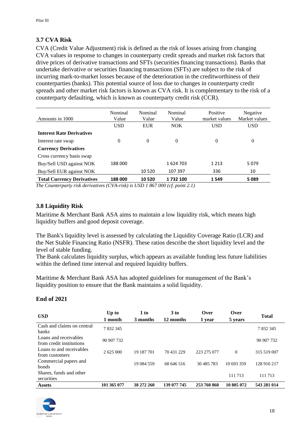## <span id="page-17-0"></span>**3.7 CVA Risk**

CVA (Credit Value Adjustment) risk is defined as the risk of losses arising from changing CVA values in response to changes in counterparty credit spreads and market risk factors that drive prices of derivative transactions and SFTs (securities financing transactions). Banks that undertake derivative or securities financing transactions (SFTs) are subject to the risk of incurring mark-to-market losses because of the deterioration in the creditworthiness of their counterparties (banks). This potential source of loss due to changes in counterparty credit spreads and other market risk factors is known as CVA risk. It is complementary to the risk of a counterparty defaulting, which is known as counterparty credit risk (CCR).

| Amounts in 1000                                    | Nominal<br>Value | Nominal<br>Value | Nominal<br>Value          | Positive<br>market values | Negative<br>Market values |
|----------------------------------------------------|------------------|------------------|---------------------------|---------------------------|---------------------------|
|                                                    | <b>USD</b>       | <b>EUR</b>       | NOK                       | <b>USD</b>                | <b>USD</b>                |
| <b>Interest Rate Derivatives</b>                   |                  |                  |                           |                           |                           |
| Interest rate swap                                 | 0                | $\theta$         | $\Omega$                  | $\theta$                  | $\theta$                  |
| <b>Currency Derivatives</b>                        |                  |                  |                           |                           |                           |
| Cross currency basis swap                          |                  |                  |                           |                           |                           |
| Buy/Sell USD against NOK                           | 188 000          |                  | 1624703                   | 1 2 1 3                   | 5079                      |
| Buy/Sell EUR against NOK                           |                  | 10 5 20          | 107 397                   | 336                       | 10                        |
| <b>Total Currency Derivatives</b><br>$\sim$ $\sim$ | 188 000          | 10 5 20          | 1732100<br>$\overline{a}$ | 1549                      | 5089                      |

*The Counterparty risk derivatives (CVA-risk) is USD 1 867 000 (cf. point 2.1)*

#### <span id="page-17-1"></span>**3.8 Liquidity Risk**

Maritime & Merchant Bank ASA aims to maintain a low liquidity risk, which means high liquidity buffers and good deposit coverage.

The Bank's liquidity level is assessed by calculating the Liquidity Coverage Ratio (LCR) and the Net Stable Financing Ratio (NSFR). These ratios describe the short liquidity level and the level of stable funding.

The Bank calculates liquidity surplus, which appears as available funding less future liabilities within the defined time interval and required liquidity buffers.

Maritime & Merchant Bank ASA has adopted guidelines for management of the Bank's liquidity position to ensure that the Bank maintains a solid liquidity.

| <b>USD</b>                                        | Up to<br>1 month | 1 to<br>3 months | 3 to<br>12 months | Over<br>1 year | Over<br>5 years | <b>Total</b> |
|---------------------------------------------------|------------------|------------------|-------------------|----------------|-----------------|--------------|
| Cash and claims on central<br><b>banks</b>        | 7832345          |                  |                   |                |                 | 7832345      |
| Loans and receivables<br>from credit institutions | 90 907 732       |                  |                   |                |                 | 90 907 732   |
| Loans to and receivables<br>from customers        | 2 625 000        | 19 187 701       | 70 431 229        | 223 275 077    | $\Omega$        | 315 519 007  |
| Commercial papers and<br>bonds                    |                  | 19 084 559       | 68 646 516        | 30 485 783     | 10 693 359      | 128 910 217  |
| Shares, funds and other<br>securities             |                  |                  |                   |                | 111 713         | 111 713      |
| <b>Assets</b>                                     | 101 365 077      | 38 272 260       | 139 077 745       | 253 760 860    | 10 805 072      | 543 281 014  |

# **End of 2021**

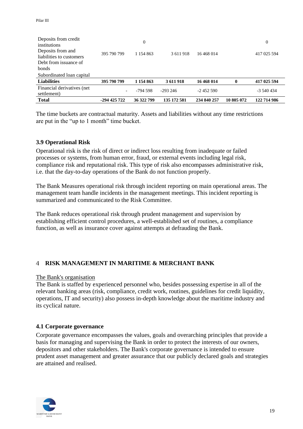| Deposits from credit<br>institutions<br>Deposits from and<br>liabilities to customers<br>Debt from issuance of<br>bonds | 395 790 799  | $\theta$<br>1 154 863 | 3611918     | 16 468 014  |            | $\theta$<br>417 025 594 |
|-------------------------------------------------------------------------------------------------------------------------|--------------|-----------------------|-------------|-------------|------------|-------------------------|
| Subordinated loan capital                                                                                               |              |                       |             |             |            |                         |
| <b>Liabilities</b>                                                                                                      | 395 790 799  | 1 154 863             | 3 611 918   | 16 468 014  | $\bf{0}$   | 417 025 594             |
| Financial derivatives (net)<br>settlement)                                                                              | Ξ.           | -794 598              | $-293246$   | $-2452590$  |            | -3 540 434              |
| <b>Total</b>                                                                                                            | -294 425 722 | 36 322 799            | 135 172 581 | 234 840 257 | 10 805 072 | 122 714 986             |

The time buckets are contractual maturity. Assets and liabilities without any time restrictions are put in the "up to 1 month" time bucket.

#### <span id="page-18-0"></span>**3.9 Operational Risk**

Operational risk is the risk of direct or indirect loss resulting from inadequate or failed processes or systems, from human error, fraud, or external events including legal risk, compliance risk and reputational risk. This type of risk also encompasses administrative risk, i.e. that the day-to-day operations of the Bank do not function properly.

The Bank Measures operational risk through incident reporting on main operational areas. The management team handle incidents in the management meetings. This incident reporting is summarized and communicated to the Risk Committee.

The Bank reduces operational risk through prudent management and supervision by establishing efficient control procedures, a well-established set of routines, a compliance function, as well as insurance cover against attempts at defrauding the Bank.

#### <span id="page-18-1"></span>**RISK MANAGEMENT IN MARITIME & MERCHANT BANK**

#### The Bank's organisation

The Bank is staffed by experienced personnel who, besides possessing expertise in all of the relevant banking areas (risk, compliance, credit work, routines, guidelines for credit liquidity, operations, IT and security) also possess in-depth knowledge about the maritime industry and its cyclical nature.

#### <span id="page-18-2"></span>**4.1 Corporate governance**

Corporate governance encompasses the values, goals and overarching principles that provide a basis for managing and supervising the Bank in order to protect the interests of our owners, depositors and other stakeholders. The Bank's corporate governance is intended to ensure prudent asset management and greater assurance that our publicly declared goals and strategies are attained and realised.

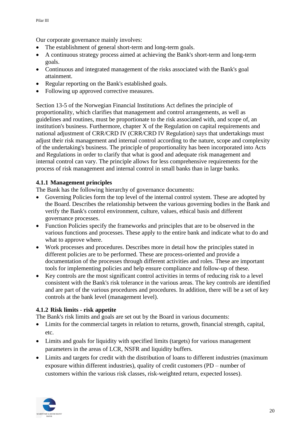Our corporate governance mainly involves:

- The establishment of general short-term and long-term goals.
- A continuous strategy process aimed at achieving the Bank's short-term and long-term goals.
- Continuous and integrated management of the risks associated with the Bank's goal attainment.
- Regular reporting on the Bank's established goals.
- Following up approved corrective measures.

Section 13-5 of the Norwegian Financial Institutions Act defines the principle of proportionality, which clarifies that management and control arrangements, as well as guidelines and routines, must be proportionate to the risk associated with, and scope of, an institution's business. Furthermore, chapter X of the Regulation on capital requirements and national adjustment of CRR/CRD IV (CRR/CRD IV Regulation) says that undertakings must adjust their risk management and internal control according to the nature, scope and complexity of the undertaking's business. The principle of proportionality has been incorporated into Acts and Regulations in order to clarify that what is good and adequate risk management and internal control can vary. The principle allows for less comprehensive requirements for the process of risk management and internal control in small banks than in large banks.

### <span id="page-19-0"></span>**4.1.1 Management principles**

The Bank has the following hierarchy of governance documents:

- Governing Policies form the top level of the internal control system. These are adopted by the Board. Describes the relationship between the various governing bodies in the Bank and verify the Bank's control environment, culture, values, ethical basis and different governance processes.
- Function Policies specify the frameworks and principles that are to be observed in the various functions and processes. These apply to the entire bank and indicate what to do and what to approve where.
- Work processes and procedures. Describes more in detail how the principles stated in different policies are to be performed. These are process-oriented and provide a documentation of the processes through different activities and roles. These are important tools for implementing policies and help ensure compliance and follow-up of these.
- Key controls are the most significant control activities in terms of reducing risk to a level consistent with the Bank's risk tolerance in the various areas. The key controls are identified and are part of the various procedures and procedures. In addition, there will be a set of key controls at the bank level (management level).

# <span id="page-19-1"></span>**4.1.2 Risk limits - risk appetite**

The Bank's risk limits and goals are set out by the Board in various documents:

- Limits for the commercial targets in relation to returns, growth, financial strength, capital, etc.
- Limits and goals for liquidity with specified limits (targets) for various management parameters in the areas of LCR, NSFR and liquidity buffers.
- Limits and targets for credit with the distribution of loans to different industries (maximum exposure within different industries), quality of credit customers (PD – number of customers within the various risk classes, risk-weighted return, expected losses).

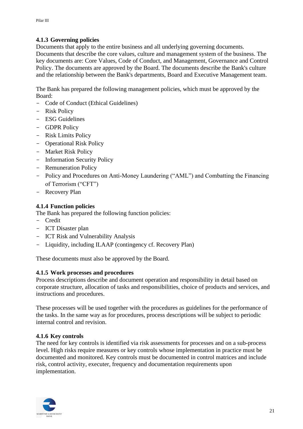## <span id="page-20-0"></span>**4.1.3 Governing policies**

Documents that apply to the entire business and all underlying governing documents. Documents that describe the core values, culture and management system of the business. The key documents are: Core Values, Code of Conduct, and Management, Governance and Control Policy. The documents are approved by the Board. The documents describe the Bank's culture and the relationship between the Bank's departments, Board and Executive Management team.

The Bank has prepared the following management policies, which must be approved by the Board:

- Code of Conduct (Ethical Guidelines)
- Risk Policy
- ESG Guidelines
- GDPR Policy
- Risk Limits Policy
- Operational Risk Policy
- Market Risk Policy
- Information Security Policy
- Remuneration Policy
- Policy and Procedures on Anti-Money Laundering ("AML") and Combatting the Financing of Terrorism ("CFT")
- Recovery Plan

#### <span id="page-20-1"></span>**4.1.4 Function policies**

- The Bank has prepared the following function policies:
- Credit
- ICT Disaster plan
- ICT Risk and Vulnerability Analysis
- Liquidity, including ILAAP (contingency cf. Recovery Plan)

These documents must also be approved by the Board.

#### <span id="page-20-2"></span>**4.1.5 Work processes and procedures**

Process descriptions describe and document operation and responsibility in detail based on corporate structure, allocation of tasks and responsibilities, choice of products and services, and instructions and procedures.

These processes will be used together with the procedures as guidelines for the performance of the tasks. In the same way as for procedures, process descriptions will be subject to periodic internal control and revision.

#### <span id="page-20-3"></span>**4.1.6 Key controls**

The need for key controls is identified via risk assessments for processes and on a sub-process level. High risks require measures or key controls whose implementation in practice must be documented and monitored. Key controls must be documented in control matrices and include risk, control activity, executer, frequency and documentation requirements upon implementation.

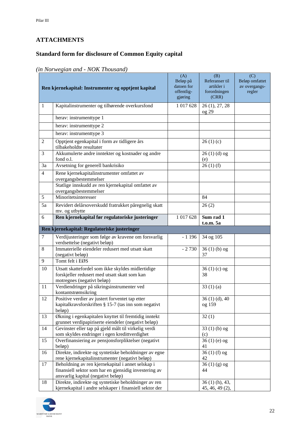# <span id="page-21-0"></span>**ATTACHMENTS**

# <span id="page-21-1"></span>**Standard form for disclosure of Common Equity capital**

|                | $\mu$ <i>we gian</i> and <b><i>we reflect the monder</i></b>                                                                                     |                                                        |                                                              |                                                  |
|----------------|--------------------------------------------------------------------------------------------------------------------------------------------------|--------------------------------------------------------|--------------------------------------------------------------|--------------------------------------------------|
|                | Ren kjernekapital: Instrumenter og opptjent kapital                                                                                              | (A)<br>Beløp på<br>datoen for<br>offentlig-<br>gjøring | (B)<br>Referanser til<br>artikler i<br>forordningen<br>(CRR) | (C)<br>Beløp omfattet<br>av overgangs-<br>regler |
| $\mathbf{1}$   | Kapitalinstrumenter og tilhørende overkursfond                                                                                                   | 1 017 628                                              | 26 (1), 27, 28<br>$\log 29$                                  |                                                  |
|                | herav: instrumenttype 1                                                                                                                          |                                                        |                                                              |                                                  |
|                | herav: instrumenttype 2                                                                                                                          |                                                        |                                                              |                                                  |
|                | herav: instrumenttype 3                                                                                                                          |                                                        |                                                              |                                                  |
| $\overline{c}$ | Opptjent egenkapital i form av tidligere års<br>tilbakeholdte resultater                                                                         |                                                        | 26(1)(c)                                                     |                                                  |
| 3              | Akkumulerte andre inntekter og kostnader og andre<br>fond o.l.                                                                                   |                                                        | $26(1)(d)$ og<br>(e)                                         |                                                  |
| 3a             | Avsetning for generell bankrisiko                                                                                                                |                                                        | 26(1)(f)                                                     |                                                  |
| $\overline{4}$ | Rene kjernekapitalinstrumenter omfattet av<br>overgangsbestemmelser                                                                              |                                                        |                                                              |                                                  |
|                | Statlige innskudd av ren kjernekapital omfattet av<br>overgangsbestemmelser                                                                      |                                                        |                                                              |                                                  |
| 5              | Minoritetsinteresser                                                                                                                             |                                                        | 84                                                           |                                                  |
| 5a             | Revidert delårsoverskudd fratrukket påregnelig skatt<br>mv. og utbytte                                                                           |                                                        | 26(2)                                                        |                                                  |
| 6              | Ren kjernekapital før regulatoriske justeringer                                                                                                  | 1 017 628                                              | Sum rad 1<br>t.o.m. 5a                                       |                                                  |
|                | Ren kjernekapital: Regulatoriske justeringer                                                                                                     |                                                        |                                                              |                                                  |
| $\tau$         | Verdijusteringer som følge av kravene om forsvarlig<br>verdsettelse (negativt beløp)                                                             | $-1196$                                                | 34 og 105                                                    |                                                  |
| $\,8\,$        | Immaterielle eiendeler redusert med utsatt skatt<br>(negativt beløp)                                                                             | $-2730$                                                | $36(1)(b)$ og<br>37                                          |                                                  |
| 9              | Tomt felt i EØS                                                                                                                                  |                                                        |                                                              |                                                  |
| 10             | Utsatt skattefordel som ikke skyldes midlertidige<br>forskjeller redusert med utsatt skatt som kan<br>motregnes (negativt beløp)                 |                                                        | 36 (1) (c) og<br>38                                          |                                                  |
| 11             | Verdiendringer på sikringsinstrumenter ved<br>kontantstrømsikring                                                                                |                                                        | 33(1)(a)                                                     |                                                  |
| 12             | Positive verdier av justert forventet tap etter<br>kapitalkravsforskriften § 15-7 (tas inn som negativt<br>beløp)                                |                                                        | 36 (1) (d), 40<br>og 159                                     |                                                  |
| 13             | Økning i egenkapitalen knyttet til fremtidig inntekt<br>grunnet verdipapiriserte eiendeler (negativt beløp)                                      |                                                        | 32(1)                                                        |                                                  |
| 14             | Gevinster eller tap på gjeld målt til virkelig verdi<br>som skyldes endringer i egen kredittverdighet                                            |                                                        | $33(1)(b)$ og<br>(c)                                         |                                                  |
| 15             | Overfinansiering av pensjonsforpliktelser (negativt<br>beløp)                                                                                    |                                                        | 36 (1) (e) og<br>41                                          |                                                  |
| 16             | Direkte, indirekte og syntetiske beholdninger av egne<br>rene kjernekapitalinstrumenter (negativt beløp)                                         |                                                        | $36(1)$ (f) og<br>42                                         |                                                  |
| 17             | Beholdning av ren kjernekapital i annet selskap i<br>finansiell sektor som har en gjensidig investering av<br>ansvarlig kapital (negativt beløp) |                                                        | $36(1)(g)$ og<br>44                                          |                                                  |
| 18             | Direkte, indirekte og syntetiske beholdninger av ren<br>kjernekapital i andre selskaper i finansiell sektor der                                  |                                                        | $36(1)$ (h), 43,<br>45, 46, 49 (2),                          |                                                  |

#### *(in Norwegian and - NOK Thousand)*

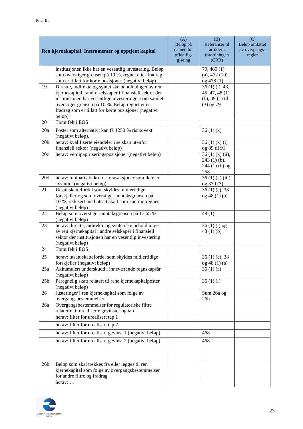|                 | Ren kjernekapital: Instrumenter og opptjent kapital                                                                                                                    | (A)<br>Beløp på<br>datoen for<br>offentlig-<br>gjøring | (B)<br>Referanser til<br>artikler i<br>forordningen<br>(CRR) | (C)<br>Beløp omfattet<br>av overgangs-<br>regler |
|-----------------|------------------------------------------------------------------------------------------------------------------------------------------------------------------------|--------------------------------------------------------|--------------------------------------------------------------|--------------------------------------------------|
|                 | institusjonen ikke har en vesentlig investering. Beløp<br>som overstiger grensen på 10 %, regnet etter fradrag<br>som er tillatt for korte posisjoner (negativt beløp) |                                                        | 79, 469 (1)<br>$(a)$ , 472 $(10)$<br>og 478 (1)              |                                                  |
| 19              | Direkte, indirekte og syntetiske beholdninger av ren<br>kjernekapital i andre selskaper i finansiell sektor der                                                        |                                                        | 36 (1) (i), 43,<br>45, 47, 48(1)                             |                                                  |
|                 | institusjonen har vesentlige investeringer som samlet                                                                                                                  |                                                        | $(b)$ , 49 $(1)$ til                                         |                                                  |
|                 | overstiger grensen på 10 %. Beløp regnet etter<br>fradrag som er tillatt for korte posisjoner (negativt<br>beløp)                                                      |                                                        | $(3)$ og 79                                                  |                                                  |
| 20              | Tomt felt i EØS                                                                                                                                                        |                                                        |                                                              |                                                  |
| 20a             | Poster som alternativt kan få 1250 % risikovekt<br>(negativt beløp),                                                                                                   |                                                        | 36(1)(k)                                                     |                                                  |
| 20 <sub>b</sub> | herav: kvalifiserte eiendeler i selskap utenfor<br>finansiell sektor (negativt beløp)                                                                                  |                                                        | 36(1)(k)(i)<br>og 89 til 91                                  |                                                  |
| 20c             | herav: verdipapiriseringsposisjoner (negativt beløp)                                                                                                                   |                                                        | $36(1)$ (k) (ii),<br>$243(1)$ (b),                           |                                                  |
|                 |                                                                                                                                                                        |                                                        | $244(1)$ (b) og<br>258                                       |                                                  |
| 20d             | herav: motpartsrisiko for transaksjoner som ikke er<br>avsluttet (negativt beløp)                                                                                      |                                                        | $36(1)$ (k) (iii)<br>og 379 (3)                              |                                                  |
| 21              | Utsatt skattefordel som skyldes midlertidige                                                                                                                           |                                                        | $36(1)(c)$ , 38                                              |                                                  |
|                 | forskjeller og som overstiger unntaksgrensen på<br>10 %, redusert med utsatt skatt som kan motregnes                                                                   |                                                        | og 48 (1) (a)                                                |                                                  |
|                 | (negativt beløp)                                                                                                                                                       |                                                        |                                                              |                                                  |
| 22              | Beløp som overstiger unntaksgrensen på 17,65 %<br>(negativt beløp)                                                                                                     |                                                        | 48(1)                                                        |                                                  |
| 23              | herav: direkte, indirekte og syntetiske beholdninger<br>av ren kjernekapital i andre selskaper i finansiell                                                            |                                                        | $36(1)(i)$ og<br>48 $(1)$ $(b)$                              |                                                  |
|                 | sektor der institusjonen har en vesentlig investering                                                                                                                  |                                                        |                                                              |                                                  |
| 24              | (negativt beløp)<br>Tomt felt i EØS                                                                                                                                    |                                                        |                                                              |                                                  |
| 25              | herav: utsatt skattefordel som skyldes midlertidige                                                                                                                    |                                                        | $36(1)(c)$ , 38                                              |                                                  |
| 25a             | forskjeller (negativt beløp)                                                                                                                                           |                                                        | og 48 (1) (a)<br>36(1)(a)                                    |                                                  |
|                 | Akkumulert underskudd i inneværende regnskapsår<br>(negativt beløp)                                                                                                    |                                                        |                                                              |                                                  |
| 25 <sub>b</sub> | Påregnelig skatt relatert til rene kjernekapitalposter<br>(negativt beløp)                                                                                             |                                                        | 36(1)(1)                                                     |                                                  |
| 26              | Justeringer i ren kjernekapital som følge av<br>overgangsbestemmelser                                                                                                  |                                                        | Sum 26a og<br>26 <sub>b</sub>                                |                                                  |
| 26a             | Overgangsbestemmelser for regulatoriske filtre<br>relaterte til urealiserte gevinster og tap                                                                           |                                                        |                                                              |                                                  |
|                 | herav: filter for urealisert tap 1                                                                                                                                     |                                                        |                                                              |                                                  |
|                 | herav: filter for urealisert tap 2                                                                                                                                     |                                                        |                                                              |                                                  |
|                 | herav: filter for urealisert gevinst 1 (negativt beløp)                                                                                                                |                                                        | 468                                                          |                                                  |
|                 | herav: filter for urealisert gevinst 2 (negativt beløp)                                                                                                                |                                                        | 468                                                          |                                                  |
| 26 <sub>b</sub> | Beløp som skal trekkes fra eller legges til ren                                                                                                                        |                                                        |                                                              |                                                  |
|                 | kjernekapital som følge av overgangsbestemmelser<br>for andre filtre og fradrag                                                                                        |                                                        |                                                              |                                                  |
|                 | $herav: \ldots$                                                                                                                                                        |                                                        |                                                              |                                                  |

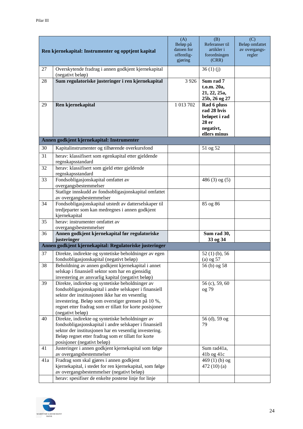|     | Ren kjernekapital: Instrumenter og opptjent kapital                                                                                                                                                                                                                                                | (A)<br>Beløp på<br>datoen for<br>offentlig-<br>gjøring | (B)<br>Referanser til<br>artikler i<br>forordningen<br>(CRR)                      | (C)<br>Beløp omfattet<br>av overgangs-<br>regler |
|-----|----------------------------------------------------------------------------------------------------------------------------------------------------------------------------------------------------------------------------------------------------------------------------------------------------|--------------------------------------------------------|-----------------------------------------------------------------------------------|--------------------------------------------------|
| 27  | Overskytende fradrag i annen godkjent kjernekapital<br>(negativt beløp)                                                                                                                                                                                                                            |                                                        | 36(1)(j)                                                                          |                                                  |
| 28  | Sum regulatoriske justeringer i ren kjernekapital                                                                                                                                                                                                                                                  | 3 9 2 6                                                | Sum rad 7<br>t.o.m. 20a,<br>21, 22, 25a,<br>25b, 26 og 27                         |                                                  |
| 29  | Ren kjernekapital                                                                                                                                                                                                                                                                                  | 1 013 702                                              | Rad 6 pluss<br>rad 28 hvis<br>beløpet i rad<br>28 er<br>negativt,<br>ellers minus |                                                  |
|     | Annen godkjent kjernekapital: Instrumenter                                                                                                                                                                                                                                                         |                                                        |                                                                                   |                                                  |
| 30  | Kapitalinstrumenter og tilhørende overkursfond                                                                                                                                                                                                                                                     |                                                        | 51 og 52                                                                          |                                                  |
| 31  | herav: klassifisert som egenkapital etter gjeldende<br>regnskapsstandard                                                                                                                                                                                                                           |                                                        |                                                                                   |                                                  |
| 32  | herav: klassifisert som gjeld etter gjeldende<br>regnskapsstandard                                                                                                                                                                                                                                 |                                                        |                                                                                   |                                                  |
| 33  | Fondsobligasjonskapital omfattet av<br>overgangsbestemmelser                                                                                                                                                                                                                                       |                                                        | $486(3)$ og $(5)$                                                                 |                                                  |
|     | Statlige innskudd av fondsobligasjonskapital omfattet<br>av overgangsbestemmelser                                                                                                                                                                                                                  |                                                        |                                                                                   |                                                  |
| 34  | Fondsobligasjonskapital utstedt av datterselskaper til<br>tredjeparter som kan medregnes i annen godkjent<br>kjernekapital                                                                                                                                                                         |                                                        | 85 og 86                                                                          |                                                  |
| 35  | herav: instrumenter omfattet av<br>overgangsbestemmelser                                                                                                                                                                                                                                           |                                                        |                                                                                   |                                                  |
| 36  | Annen godkjent kjernekapital før regulatoriske<br>justeringer                                                                                                                                                                                                                                      |                                                        | Sum rad 30,<br>33 og 34                                                           |                                                  |
|     | Annen godkjent kjernekapital: Regulatoriske justeringer                                                                                                                                                                                                                                            |                                                        |                                                                                   |                                                  |
| 37  | Direkte, indirekte og syntetiske beholdninger av egen<br>fondsobligasjonskapital (negativt beløp)                                                                                                                                                                                                  |                                                        | 52 (1) (b), 56<br>$(a)$ og 57                                                     |                                                  |
| 38  | Beholdning av annen godkjent kjernekapital i annet<br>selskap i finansiell sektor som har en gjensidig<br>investering av ansvarlig kapital (negativt beløp)                                                                                                                                        |                                                        | 56 (b) og 58                                                                      |                                                  |
| 39  | Direkte, indirekte og syntetiske beholdninger av<br>fondsobligasjonskapital i andre selskaper i finansiell<br>sektor der institusjonen ikke har en vesentlig<br>investering. Beløp som overstiger grensen på 10 %,<br>regnet etter fradrag som er tillatt for korte posisjoner<br>(negativt beløp) |                                                        | 56 (c), 59, 60<br>og 79                                                           |                                                  |
| 40  | Direkte, indirekte og syntetiske beholdninger av<br>fondsobligasjonskapital i andre selskaper i finansiell<br>sektor der institusjonen har en vesentlig investering.<br>Beløp regnet etter fradrag som er tillatt for korte<br>posisjoner (negativt beløp)                                         |                                                        | 56 (d), 59 og<br>79                                                               |                                                  |
| 41  | Justeringer i annen godkjent kjernekapital som følge<br>av overgangsbestemmelser                                                                                                                                                                                                                   |                                                        | Sum rad41a,<br>41b og 41c                                                         |                                                  |
| 41a | Fradrag som skal gjøres i annen godkjent<br>kjernekapital, i stedet for ren kjernekapital, som følge<br>av overgangsbestemmelser (negativt beløp)<br>herav: spesifiser de enkelte postene linje for linje                                                                                          |                                                        | 469 $(1)$ (b) og<br>472 $(10)(a)$                                                 |                                                  |

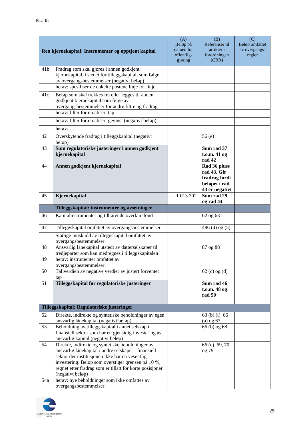|                 | Ren kjernekapital: Instrumenter og opptjent kapital                                                                                                                                                                                                                                              | (A)<br>Beløp på<br>datoen for<br>offentlig-<br>gjøring | (B)<br>Referanser til<br>artikler i<br>forordningen<br>(CRR)                    | (C)<br>Beløp omfattet<br>av overgangs-<br>regler |
|-----------------|--------------------------------------------------------------------------------------------------------------------------------------------------------------------------------------------------------------------------------------------------------------------------------------------------|--------------------------------------------------------|---------------------------------------------------------------------------------|--------------------------------------------------|
| 41 <sub>b</sub> | Fradrag som skal gjøres i annen godkjent<br>kjernekapital, i stedet for tilleggskapital, som følge<br>av overgangsbestemmelser (negativt beløp)<br>herav: spesifiser de enkelte postene linje for linje                                                                                          |                                                        |                                                                                 |                                                  |
| 41c             | Beløp som skal trekkes fra eller legges til annen<br>godkjent kjernekapital som følge av<br>overgangsbestemmelser for andre filtre og fradrag<br>herav: filter for urealisert tap                                                                                                                |                                                        |                                                                                 |                                                  |
|                 | herav: filter for urealisert gevinst (negativt beløp)                                                                                                                                                                                                                                            |                                                        |                                                                                 |                                                  |
|                 | herav: $\dots$                                                                                                                                                                                                                                                                                   |                                                        |                                                                                 |                                                  |
| 42              | Overskytende fradrag i tilleggskapital (negativt<br>beløp)                                                                                                                                                                                                                                       |                                                        | 56(e)                                                                           |                                                  |
| 43              | Sum regulatoriske justeringer i annen godkjent<br>kjernekapital                                                                                                                                                                                                                                  |                                                        | Sum rad 37<br>t.o.m. 41 og<br>rad 42                                            |                                                  |
| 44              | Annen godkjent kjernekapital                                                                                                                                                                                                                                                                     |                                                        | Rad 36 pluss<br>rad 43. Gir<br>fradrag fordi<br>beløpet i rad<br>43 er negativt |                                                  |
| 45              | Kjernekapital                                                                                                                                                                                                                                                                                    | 1 013 702                                              | Sum rad $29$<br>og rad 44                                                       |                                                  |
|                 | Tilleggskapital: instrumenter og avsetninger                                                                                                                                                                                                                                                     |                                                        |                                                                                 |                                                  |
| 46              | Kapitalinstrumenter og tilhørende overkursfond                                                                                                                                                                                                                                                   |                                                        | 62 og 63                                                                        |                                                  |
| 47              | Tilleggskapital omfattet av overgangsbestemmelser                                                                                                                                                                                                                                                |                                                        | $486(4)$ og $(5)$                                                               |                                                  |
|                 | Statlige innskudd av tilleggskapital omfattet av<br>overgangsbestemmelser                                                                                                                                                                                                                        |                                                        |                                                                                 |                                                  |
| 48              | Ansvarlig lånekapital utstedt av datterselskaper til<br>tredjeparter som kan medregnes i tilleggskapitalen                                                                                                                                                                                       |                                                        | 87 og 88                                                                        |                                                  |
| 49              | herav: instrumenter omfattet av<br>overgangsbestemmelser                                                                                                                                                                                                                                         |                                                        |                                                                                 |                                                  |
| 50              | Tallverdien av negative verdier av justert forventet<br>tap                                                                                                                                                                                                                                      |                                                        | $62$ (c) og (d)                                                                 |                                                  |
| 51              | Tilleggskapital før regulatoriske justeringer                                                                                                                                                                                                                                                    |                                                        | Sum rad 46<br>t.o.m. 48 og<br>rad 50                                            |                                                  |
|                 | Tilleggskapital: Regulatoriske justeringer                                                                                                                                                                                                                                                       |                                                        |                                                                                 |                                                  |
| 52              | Direkte, indirekte og syntetiske beholdninger av egen<br>ansvarlig lånekapital (negativt beløp)                                                                                                                                                                                                  |                                                        | 63 (b) (i), 66<br>$(a)$ og 67                                                   |                                                  |
| 53              | Beholdning av tilleggskapital i annet selskap i<br>finansiell sektor som har en gjensidig investering av<br>ansvarlig kapital (negativt beløp)                                                                                                                                                   |                                                        | 66 (b) og 68                                                                    |                                                  |
| 54              | Direkte, indirekte og syntetiske beholdninger av<br>ansvarlig lånekapital i andre selskaper i finansiell<br>sektor der institusjonen ikke har en vesentlig<br>investering. Beløp som overstiger grensen på 10 %,<br>regnet etter fradrag som er tillatt for korte posisjoner<br>(negativt beløp) |                                                        | 66 (c), 69, 70<br>og 79                                                         |                                                  |
| 54a             | herav: nye beholdninger som ikke omfattes av<br>overgangsbestemmelser                                                                                                                                                                                                                            |                                                        |                                                                                 |                                                  |

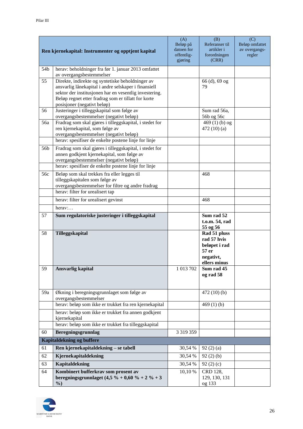|     | Ren kjernekapital: Instrumenter og opptjent kapital                                            | (A)<br>Beløp på<br>datoen for<br>offentlig-<br>gjøring | (B)<br>Referanser til<br>artikler i<br>forordningen<br>(CRR)                       | (C)<br>Beløp omfattet<br>av overgangs-<br>regler |
|-----|------------------------------------------------------------------------------------------------|--------------------------------------------------------|------------------------------------------------------------------------------------|--------------------------------------------------|
| 54b | herav: beholdninger fra før 1. januar 2013 omfattet                                            |                                                        |                                                                                    |                                                  |
| 55  | av overgangsbestemmelser<br>Direkte, indirekte og syntetiske beholdninger av                   |                                                        | 66 (d), 69 og                                                                      |                                                  |
|     | ansvarlig lånekapital i andre selskaper i finansiell                                           |                                                        | 79                                                                                 |                                                  |
|     | sektor der institusjonen har en vesentlig investering.                                         |                                                        |                                                                                    |                                                  |
|     | Beløp regnet etter fradrag som er tillatt for korte                                            |                                                        |                                                                                    |                                                  |
|     | posisjoner (negativt beløp)                                                                    |                                                        |                                                                                    |                                                  |
| 56  | Justeringer i tilleggskapital som følge av<br>overgangsbestemmelser (negativt beløp)           |                                                        | Sum rad 56a,<br>56b og 56c                                                         |                                                  |
| 56a | Fradrag som skal gjøres i tilleggskapital, i stedet for                                        |                                                        | 469 $(1)(b)$ og                                                                    |                                                  |
|     | ren kjernekapital, som følge av                                                                |                                                        | 472 $(10)(a)$                                                                      |                                                  |
|     | overgangsbestemmelser (negativt beløp)                                                         |                                                        |                                                                                    |                                                  |
|     | herav: spesifiser de enkelte postene linje for linje                                           |                                                        |                                                                                    |                                                  |
| 56b | Fradrag som skal gjøres i tilleggskapital, i stedet for                                        |                                                        |                                                                                    |                                                  |
|     | annen godkjent kjernekapital, som følge av                                                     |                                                        |                                                                                    |                                                  |
|     | overgangsbestemmelser (negativt beløp)<br>herav: spesifiser de enkelte postene linje for linje |                                                        |                                                                                    |                                                  |
|     |                                                                                                |                                                        |                                                                                    |                                                  |
| 56c | Beløp som skal trekkes fra eller legges til<br>tilleggskapitalen som følge av                  |                                                        | 468                                                                                |                                                  |
|     | overgangsbestemmelser for filtre og andre fradrag                                              |                                                        |                                                                                    |                                                  |
|     | herav: filter for urealisert tap                                                               |                                                        |                                                                                    |                                                  |
|     | herav: filter for urealisert gevinst                                                           |                                                        | 468                                                                                |                                                  |
|     | herav:                                                                                         |                                                        |                                                                                    |                                                  |
| 57  | Sum regulatoriske justeringer i tilleggskapital                                                |                                                        | Sum rad 52<br>t.o.m. 54, rad<br>55 og 56                                           |                                                  |
| 58  | Tilleggskapital                                                                                |                                                        | Rad 51 pluss<br>rad 57 hvis<br>beløpet i rad<br>57 er<br>negativt,<br>ellers minus |                                                  |
| 59  | <b>Ansvarlig kapital</b>                                                                       | 1 013 702                                              | Sum rad 45<br>og rad 58                                                            |                                                  |
| 59a | Økning i beregningsgrunnlaget som følge av<br>overgangsbestemmelser                            |                                                        | 472(10)(b)                                                                         |                                                  |
|     | herav: beløp som ikke er trukket fra ren kjernekapital                                         |                                                        | 469 $(1)$ $(b)$                                                                    |                                                  |
|     | herav: beløp som ikke er trukket fra annen godkjent<br>kjernekapital                           |                                                        |                                                                                    |                                                  |
|     | herav: beløp som ikke er trukket fra tilleggskapital                                           |                                                        |                                                                                    |                                                  |
| 60  | Beregningsgrunnlag                                                                             | 3 3 19 3 5 9                                           |                                                                                    |                                                  |
|     | Kapitaldekning og buffere                                                                      |                                                        |                                                                                    |                                                  |
| 61  | Ren kjernekapitaldekning - se tabell                                                           | 30,54 %                                                | 92(2)(a)                                                                           |                                                  |
| 62  | Kjernekapitaldekning                                                                           | 30,54 %                                                | 92(2)(b)                                                                           |                                                  |
| 63  | Kapitaldekning                                                                                 | 30,54 %                                                | 92 $(2)(c)$                                                                        |                                                  |
| 64  | Kombinert bufferkrav som prosent av                                                            | 10,10 %                                                | CRD 128,                                                                           |                                                  |
|     | beregningsgrunnlaget $(4,5\% + 0,60\% + 2\% + 3)$<br>$\%$                                      |                                                        | 129, 130, 131<br>og 133                                                            |                                                  |